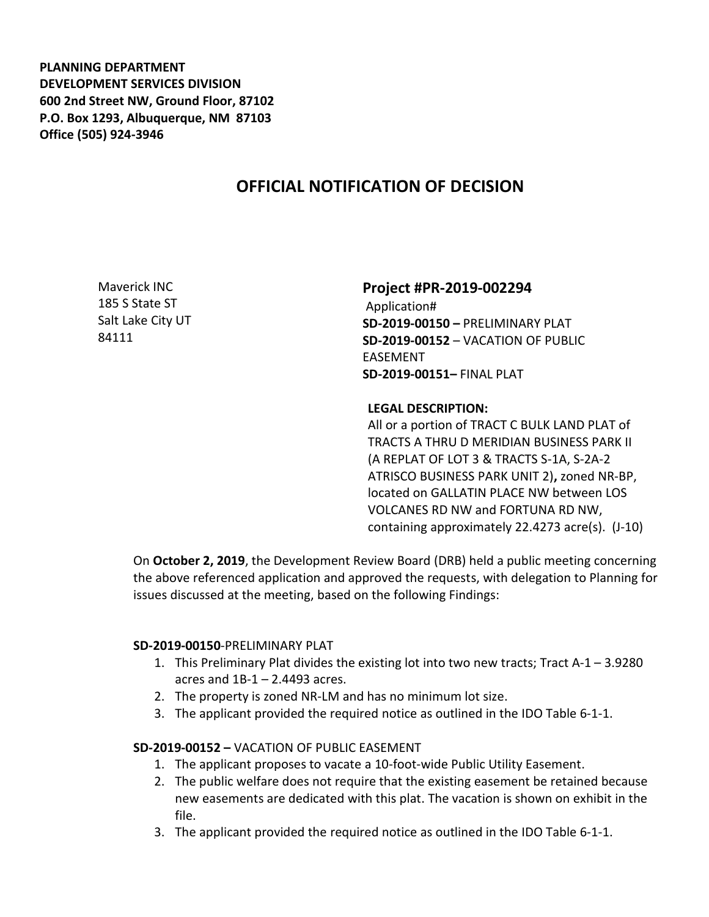**PLANNING DEPARTMENT DEVELOPMENT SERVICES DIVISION 600 2nd Street NW, Ground Floor, 87102 P.O. Box 1293, Albuquerque, NM 87103 Office (505) 924-3946** 

# **OFFICIAL NOTIFICATION OF DECISION**

Maverick INC 185 S State ST Salt Lake City UT 84111

## **Project #PR-2019-002294**

Application# **SD-2019-00150 –** PRELIMINARY PLAT **SD-2019-00152** – VACATION OF PUBLIC EASEMENT **SD-2019-00151–** FINAL PLAT

## **LEGAL DESCRIPTION:**

All or a portion of TRACT C BULK LAND PLAT of TRACTS A THRU D MERIDIAN BUSINESS PARK II (A REPLAT OF LOT 3 & TRACTS S-1A, S-2A-2 ATRISCO BUSINESS PARK UNIT 2)**,** zoned NR-BP, located on GALLATIN PLACE NW between LOS VOLCANES RD NW and FORTUNA RD NW, containing approximately 22.4273 acre(s). (J-10)

On **October 2, 2019**, the Development Review Board (DRB) held a public meeting concerning the above referenced application and approved the requests, with delegation to Planning for issues discussed at the meeting, based on the following Findings:

#### **SD-2019-00150**-PRELIMINARY PLAT

- 1. This Preliminary Plat divides the existing lot into two new tracts; Tract A-1 3.9280 acres and  $1B-1 - 2.4493$  acres.
- 2. The property is zoned NR-LM and has no minimum lot size.
- 3. The applicant provided the required notice as outlined in the IDO Table 6-1-1.

## **SD-2019-00152 –** VACATION OF PUBLIC EASEMENT

- 1. The applicant proposes to vacate a 10-foot-wide Public Utility Easement.
- 2. The public welfare does not require that the existing easement be retained because new easements are dedicated with this plat. The vacation is shown on exhibit in the file.
- 3. The applicant provided the required notice as outlined in the IDO Table 6-1-1.